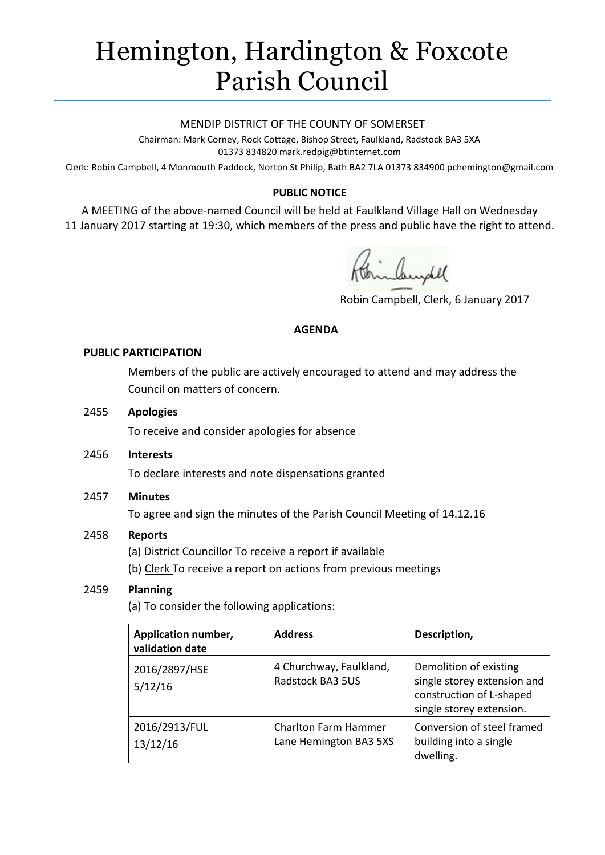# Hemington, Hardington & Foxcote Parish Council

#### MENDIP DISTRICT OF THE COUNTY OF SOMERSET

Chairman: Mark Corney, Rock Cottage, Bishop Street, Faulkland, Radstock BA3 5XA 01373 834820 mark.redpig@btinternet.com

Clerk: Robin Campbell, 4 Monmouth Paddock, Norton St Philip, Bath BA2 7LA 01373 834900 [pchemington@gmail.com](mailto:pchemington@gmail.com)

# **PUBLIC NOTICE**

A MEETING of the above-named Council will be held at Faulkland Village Hall on Wednesday 11 January 2017 starting at 19:30, which members of the press and public have the right to attend.

inbundel

Robin Campbell, Clerk, 6 January 2017

#### **AGENDA**

#### **PUBLIC PARTICIPATION**

Members of the public are actively encouraged to attend and may address the Council on matters of concern.

#### 2455 **Apologies**

To receive and consider apologies for absence

2456 **Interests**

To declare interests and note dispensations granted

## 2457 **Minutes**

To agree and sign the minutes of the Parish Council Meeting of 14.12.16

## 2458 **Reports**

(a) District Councillor To receive a report if available

(b) Clerk To receive a report on actions from previous meetings

## 2459 **Planning**

(a) To consider the following applications:

| Application number,<br>validation date | <b>Address</b>                                        | Description,                                                                                                  |
|----------------------------------------|-------------------------------------------------------|---------------------------------------------------------------------------------------------------------------|
| 2016/2897/HSE<br>5/12/16               | 4 Churchway, Faulkland,<br><b>Radstock BA3 5US</b>    | Demolition of existing<br>single storey extension and<br>construction of L-shaped<br>single storey extension. |
| 2016/2913/FUL<br>13/12/16              | <b>Charlton Farm Hammer</b><br>Lane Hemington BA3 5XS | Conversion of steel framed<br>building into a single<br>dwelling.                                             |